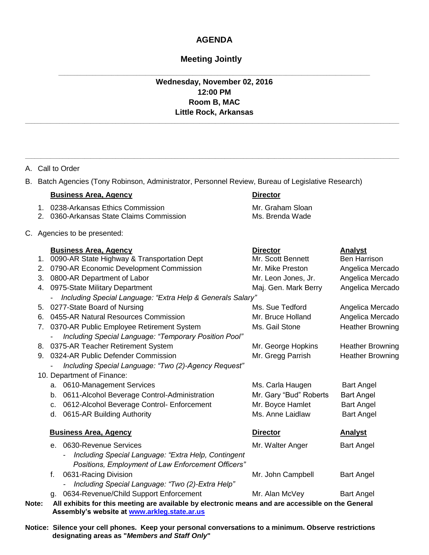## **AGENDA**

## **Meeting Jointly**

## **Wednesday, November 02, 2016 12:00 PM Room B, MAC Little Rock, Arkansas**

**\_\_\_\_\_\_\_\_\_\_\_\_\_\_\_\_\_\_\_\_\_\_\_\_\_\_\_\_\_\_\_\_\_\_\_\_\_\_\_\_\_\_\_\_\_\_\_\_\_\_\_\_\_\_\_\_\_\_\_\_\_\_\_\_\_\_\_\_\_\_\_\_\_\_\_\_\_\_\_\_\_\_\_\_\_\_\_\_\_\_\_\_\_\_\_\_\_\_\_\_\_\_\_\_\_\_\_\_\_\_\_\_\_\_\_\_\_\_\_\_**

**\_\_\_\_\_\_\_\_\_\_\_\_\_\_\_\_\_\_\_\_\_\_\_\_\_\_\_\_\_\_\_\_\_\_\_\_\_\_\_\_\_\_\_\_\_\_\_\_\_\_\_\_\_\_\_\_\_\_\_\_\_\_\_\_\_\_\_\_\_\_\_\_\_\_\_\_\_\_\_\_\_\_\_\_\_\_\_\_\_\_\_\_\_\_\_\_\_\_\_\_**

|       | A. Call to Order                                                                                   |                                                                                                                                                                                                                                                                  |                                                                                                         |                                                                                                                       |  |  |
|-------|----------------------------------------------------------------------------------------------------|------------------------------------------------------------------------------------------------------------------------------------------------------------------------------------------------------------------------------------------------------------------|---------------------------------------------------------------------------------------------------------|-----------------------------------------------------------------------------------------------------------------------|--|--|
|       | B. Batch Agencies (Tony Robinson, Administrator, Personnel Review, Bureau of Legislative Research) |                                                                                                                                                                                                                                                                  |                                                                                                         |                                                                                                                       |  |  |
|       |                                                                                                    | <b>Business Area, Agency</b>                                                                                                                                                                                                                                     | <b>Director</b>                                                                                         |                                                                                                                       |  |  |
|       |                                                                                                    | 1. 0238-Arkansas Ethics Commission<br>2. 0360-Arkansas State Claims Commission                                                                                                                                                                                   | Mr. Graham Sloan<br>Ms. Brenda Wade                                                                     |                                                                                                                       |  |  |
|       |                                                                                                    | C. Agencies to be presented:                                                                                                                                                                                                                                     |                                                                                                         |                                                                                                                       |  |  |
|       |                                                                                                    | <b>Business Area, Agency</b><br>1. 0090-AR State Highway & Transportation Dept<br>2. 0790-AR Economic Development Commission<br>3. 0800-AR Department of Labor<br>4. 0975-State Military Department                                                              | <b>Director</b><br>Mr. Scott Bennett<br>Mr. Mike Preston<br>Mr. Leon Jones, Jr.<br>Maj. Gen. Mark Berry | Analyst<br><b>Ben Harrison</b><br>Angelica Mercado<br>Angelica Mercado<br>Angelica Mercado                            |  |  |
|       |                                                                                                    | Including Special Language: "Extra Help & Generals Salary"<br>$\blacksquare$                                                                                                                                                                                     |                                                                                                         |                                                                                                                       |  |  |
|       | 6.                                                                                                 | 5. 0277-State Board of Nursing<br>0455-AR Natural Resources Commission<br>7. 0370-AR Public Employee Retirement System<br>Including Special Language: "Temporary Position Pool"<br>8. 0375-AR Teacher Retirement System<br>9. 0324-AR Public Defender Commission | Ms. Sue Tedford<br>Mr. Bruce Holland<br>Ms. Gail Stone<br>Mr. George Hopkins<br>Mr. Gregg Parrish       | Angelica Mercado<br>Angelica Mercado<br><b>Heather Browning</b><br><b>Heather Browning</b><br><b>Heather Browning</b> |  |  |
|       |                                                                                                    | Including Special Language: "Two (2)-Agency Request"<br>10. Department of Finance:                                                                                                                                                                               |                                                                                                         |                                                                                                                       |  |  |
|       |                                                                                                    | a. 0610-Management Services<br>b. 0611-Alcohol Beverage Control-Administration<br>c. 0612-Alcohol Beverage Control- Enforcement<br>d. 0615-AR Building Authority                                                                                                 | Ms. Carla Haugen<br>Mr. Gary "Bud" Roberts<br>Mr. Boyce Hamlet<br>Ms. Anne Laidlaw                      | <b>Bart Angel</b><br><b>Bart Angel</b><br><b>Bart Angel</b><br><b>Bart Angel</b>                                      |  |  |
|       |                                                                                                    | <b>Business Area, Agency</b>                                                                                                                                                                                                                                     | <b>Director</b>                                                                                         | <b>Analyst</b>                                                                                                        |  |  |
|       |                                                                                                    | e. 0630-Revenue Services<br>Including Special Language: "Extra Help, Contingent<br>$\blacksquare$<br>Positions, Employment of Law Enforcement Officers"                                                                                                          | Mr. Walter Anger                                                                                        | <b>Bart Angel</b>                                                                                                     |  |  |
|       |                                                                                                    | 0631-Racing Division<br>f.<br>Including Special Language: "Two (2)-Extra Help"                                                                                                                                                                                   | Mr. John Campbell                                                                                       | <b>Bart Angel</b>                                                                                                     |  |  |
| Note: |                                                                                                    | 0634-Revenue/Child Support Enforcement<br>q.<br>All exhibits for this meeting are available by electronic means and are accessible on the General                                                                                                                | Mr. Alan McVey                                                                                          | <b>Bart Angel</b>                                                                                                     |  |  |

**Assembly's website at www.arkleg.state.ar.us**

**Notice: Silence your cell phones. Keep your personal conversations to a minimum. Observe restrictions designating areas as "***Members and Staff Only***"**